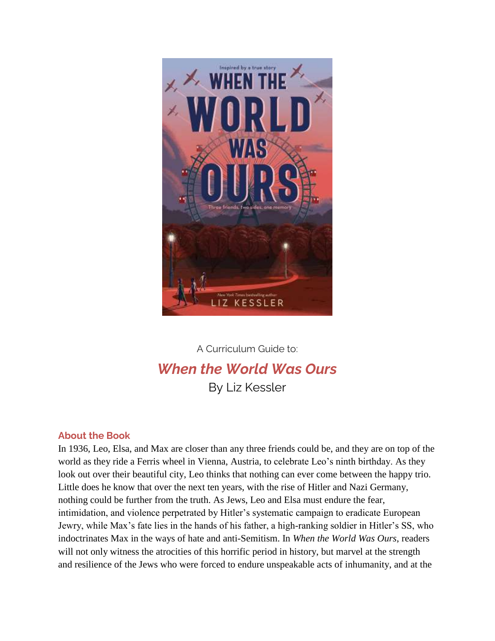

## A Curriculum Guide to: *When the World Was Ours* By Liz Kessler

## **About the Book**

In 1936, Leo, Elsa, and Max are closer than any three friends could be, and they are on top of the world as they ride a Ferris wheel in Vienna, Austria, to celebrate Leo's ninth birthday. As they look out over their beautiful city, Leo thinks that nothing can ever come between the happy trio. Little does he know that over the next ten years, with the rise of Hitler and Nazi Germany, nothing could be further from the truth. As Jews, Leo and Elsa must endure the fear, intimidation, and violence perpetrated by Hitler's systematic campaign to eradicate European Jewry, while Max's fate lies in the hands of his father, a high-ranking soldier in Hitler's SS, who indoctrinates Max in the ways of hate and anti-Semitism. In *When the World Was Ours*, readers will not only witness the atrocities of this horrific period in history, but marvel at the strength and resilience of the Jews who were forced to endure unspeakable acts of inhumanity, and at the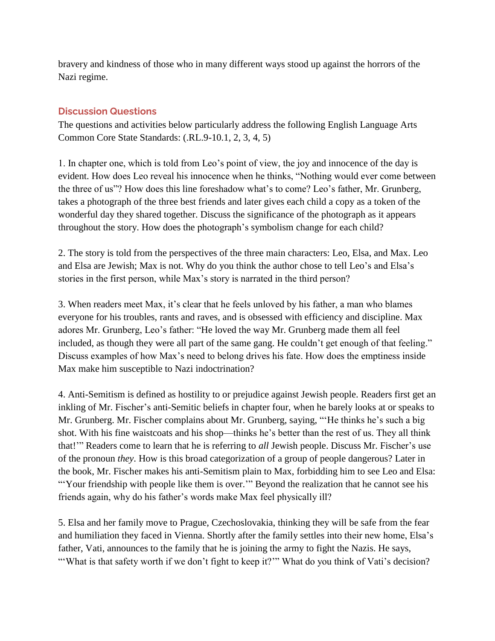bravery and kindness of those who in many different ways stood up against the horrors of the Nazi regime.

## **Discussion Questions**

The questions and activities below particularly address the following English Language Arts Common Core State Standards: (.RL.9-10.1, 2, 3, 4, 5)

1. In chapter one, which is told from Leo's point of view, the joy and innocence of the day is evident. How does Leo reveal his innocence when he thinks, "Nothing would ever come between the three of us"? How does this line foreshadow what's to come? Leo's father, Mr. Grunberg, takes a photograph of the three best friends and later gives each child a copy as a token of the wonderful day they shared together. Discuss the significance of the photograph as it appears throughout the story. How does the photograph's symbolism change for each child?

2. The story is told from the perspectives of the three main characters: Leo, Elsa, and Max. Leo and Elsa are Jewish; Max is not. Why do you think the author chose to tell Leo's and Elsa's stories in the first person, while Max's story is narrated in the third person?

3. When readers meet Max, it's clear that he feels unloved by his father, a man who blames everyone for his troubles, rants and raves, and is obsessed with efficiency and discipline. Max adores Mr. Grunberg, Leo's father: "He loved the way Mr. Grunberg made them all feel included, as though they were all part of the same gang. He couldn't get enough of that feeling." Discuss examples of how Max's need to belong drives his fate. How does the emptiness inside Max make him susceptible to Nazi indoctrination?

4. Anti-Semitism is defined as hostility to or prejudice against Jewish people. Readers first get an inkling of Mr. Fischer's anti-Semitic beliefs in chapter four, when he barely looks at or speaks to Mr. Grunberg. Mr. Fischer complains about Mr. Grunberg, saying, "'He thinks he's such a big shot. With his fine waistcoats and his shop—thinks he's better than the rest of us. They all think that!'" Readers come to learn that he is referring to *all* Jewish people. Discuss Mr. Fischer's use of the pronoun *they*. How is this broad categorization of a group of people dangerous? Later in the book, Mr. Fischer makes his anti-Semitism plain to Max, forbidding him to see Leo and Elsa: "Your friendship with people like them is over."" Beyond the realization that he cannot see his friends again, why do his father's words make Max feel physically ill?

5. Elsa and her family move to Prague, Czechoslovakia, thinking they will be safe from the fear and humiliation they faced in Vienna. Shortly after the family settles into their new home, Elsa's father, Vati, announces to the family that he is joining the army to fight the Nazis. He says, "'What is that safety worth if we don't fight to keep it?"" What do you think of Vati's decision?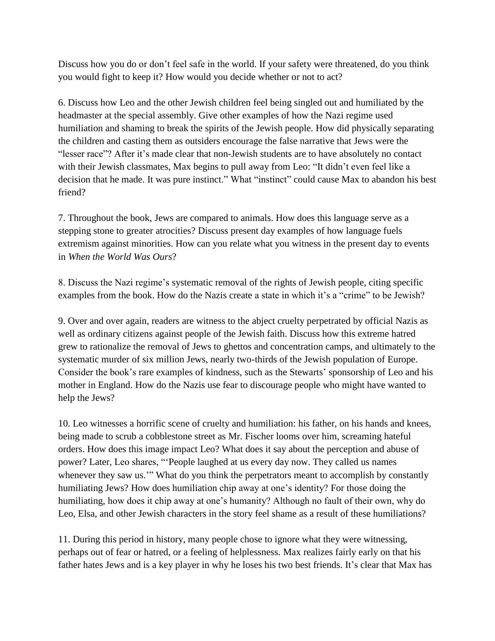Discuss how you do or don't feel safe in the world. If your safety were threatened, do you think you would fight to keep it? How would you decide whether or not to act?

6. Discuss how Leo and the other Jewish children feel being singled out and humiliated by the headmaster at the special assembly. Give other examples of how the Nazi regime used humiliation and shaming to break the spirits of the Jewish people. How did physically separating the children and casting them as outsiders encourage the false narrative that Jews were the "lesser race"? After it's made clear that non-Jewish students are to have absolutely no contact with their Jewish classmates, Max begins to pull away from Leo: "It didn't even feel like a decision that he made. It was pure instinct." What "instinct" could cause Max to abandon his best friend?

7. Throughout the book, Jews are compared to animals. How does this language serve as a stepping stone to greater atrocities? Discuss present day examples of how language fuels extremism against minorities. How can you relate what you witness in the present day to events in *When the World Was Ours*?

8. Discuss the Nazi regime's systematic removal of the rights of Jewish people, citing specific examples from the book. How do the Nazis create a state in which it's a "crime" to be Jewish?

9. Over and over again, readers are witness to the abject cruelty perpetrated by official Nazis as well as ordinary citizens against people of the Jewish faith. Discuss how this extreme hatred grew to rationalize the removal of Jews to ghettos and concentration camps, and ultimately to the systematic murder of six million Jews, nearly two-thirds of the Jewish population of Europe. Consider the book's rare examples of kindness, such as the Stewarts' sponsorship of Leo and his mother in England. How do the Nazis use fear to discourage people who might have wanted to help the Jews?

10. Leo witnesses a horrific scene of cruelty and humiliation: his father, on his hands and knees, being made to scrub a cobblestone street as Mr. Fischer looms over him, screaming hateful orders. How does this image impact Leo? What does it say about the perception and abuse of power? Later, Leo shares, "'People laughed at us every day now. They called us names whenever they saw us.'" What do you think the perpetrators meant to accomplish by constantly humiliating Jews? How does humiliation chip away at one's identity? For those doing the humiliating, how does it chip away at one's humanity? Although no fault of their own, why do Leo, Elsa, and other Jewish characters in the story feel shame as a result of these humiliations?

11. During this period in history, many people chose to ignore what they were witnessing, perhaps out of fear or hatred, or a feeling of helplessness. Max realizes fairly early on that his father hates Jews and is a key player in why he loses his two best friends. It's clear that Max has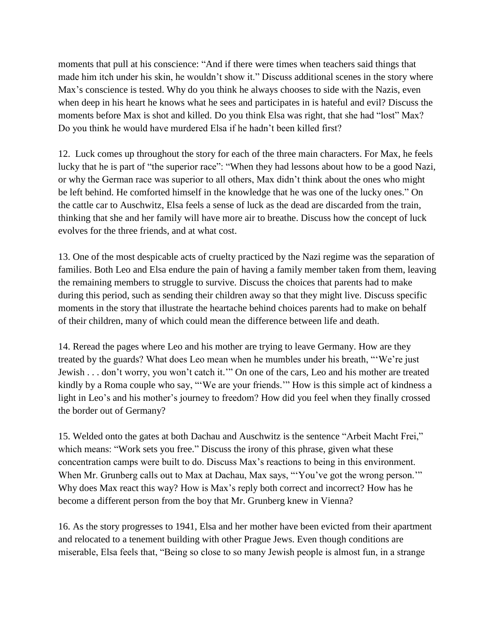moments that pull at his conscience: "And if there were times when teachers said things that made him itch under his skin, he wouldn't show it." Discuss additional scenes in the story where Max's conscience is tested. Why do you think he always chooses to side with the Nazis, even when deep in his heart he knows what he sees and participates in is hateful and evil? Discuss the moments before Max is shot and killed. Do you think Elsa was right, that she had "lost" Max? Do you think he would have murdered Elsa if he hadn't been killed first?

12. Luck comes up throughout the story for each of the three main characters. For Max, he feels lucky that he is part of "the superior race": "When they had lessons about how to be a good Nazi, or why the German race was superior to all others, Max didn't think about the ones who might be left behind. He comforted himself in the knowledge that he was one of the lucky ones." On the cattle car to Auschwitz, Elsa feels a sense of luck as the dead are discarded from the train, thinking that she and her family will have more air to breathe. Discuss how the concept of luck evolves for the three friends, and at what cost.

13. One of the most despicable acts of cruelty practiced by the Nazi regime was the separation of families. Both Leo and Elsa endure the pain of having a family member taken from them, leaving the remaining members to struggle to survive. Discuss the choices that parents had to make during this period, such as sending their children away so that they might live. Discuss specific moments in the story that illustrate the heartache behind choices parents had to make on behalf of their children, many of which could mean the difference between life and death.

14. Reread the pages where Leo and his mother are trying to leave Germany. How are they treated by the guards? What does Leo mean when he mumbles under his breath, "'We're just Jewish . . . don't worry, you won't catch it.'" On one of the cars, Leo and his mother are treated kindly by a Roma couple who say, "'We are your friends.'" How is this simple act of kindness a light in Leo's and his mother's journey to freedom? How did you feel when they finally crossed the border out of Germany?

15. Welded onto the gates at both Dachau and Auschwitz is the sentence "Arbeit Macht Frei," which means: "Work sets you free." Discuss the irony of this phrase, given what these concentration camps were built to do. Discuss Max's reactions to being in this environment. When Mr. Grunberg calls out to Max at Dachau, Max says, "'You've got the wrong person.'" Why does Max react this way? How is Max's reply both correct and incorrect? How has he become a different person from the boy that Mr. Grunberg knew in Vienna?

16. As the story progresses to 1941, Elsa and her mother have been evicted from their apartment and relocated to a tenement building with other Prague Jews. Even though conditions are miserable, Elsa feels that, "Being so close to so many Jewish people is almost fun, in a strange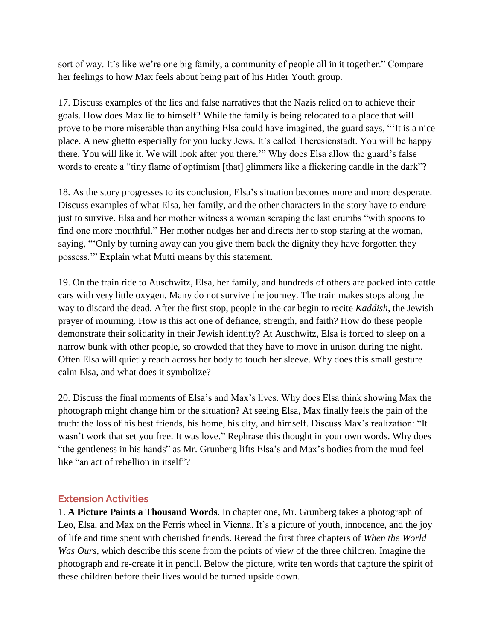sort of way. It's like we're one big family, a community of people all in it together." Compare her feelings to how Max feels about being part of his Hitler Youth group.

17. Discuss examples of the lies and false narratives that the Nazis relied on to achieve their goals. How does Max lie to himself? While the family is being relocated to a place that will prove to be more miserable than anything Elsa could have imagined, the guard says, "'It is a nice place. A new ghetto especially for you lucky Jews. It's called Theresienstadt. You will be happy there. You will like it. We will look after you there.'" Why does Elsa allow the guard's false words to create a "tiny flame of optimism [that] glimmers like a flickering candle in the dark"?

18. As the story progresses to its conclusion, Elsa's situation becomes more and more desperate. Discuss examples of what Elsa, her family, and the other characters in the story have to endure just to survive. Elsa and her mother witness a woman scraping the last crumbs "with spoons to find one more mouthful." Her mother nudges her and directs her to stop staring at the woman, saying, "'Only by turning away can you give them back the dignity they have forgotten they possess.'" Explain what Mutti means by this statement.

19. On the train ride to Auschwitz, Elsa, her family, and hundreds of others are packed into cattle cars with very little oxygen. Many do not survive the journey. The train makes stops along the way to discard the dead. After the first stop, people in the car begin to recite *Kaddish*, the Jewish prayer of mourning. How is this act one of defiance, strength, and faith? How do these people demonstrate their solidarity in their Jewish identity? At Auschwitz, Elsa is forced to sleep on a narrow bunk with other people, so crowded that they have to move in unison during the night. Often Elsa will quietly reach across her body to touch her sleeve. Why does this small gesture calm Elsa, and what does it symbolize?

20. Discuss the final moments of Elsa's and Max's lives. Why does Elsa think showing Max the photograph might change him or the situation? At seeing Elsa, Max finally feels the pain of the truth: the loss of his best friends, his home, his city, and himself. Discuss Max's realization: "It wasn't work that set you free. It was love." Rephrase this thought in your own words. Why does "the gentleness in his hands" as Mr. Grunberg lifts Elsa's and Max's bodies from the mud feel like "an act of rebellion in itself"?

## **Extension Activities**

1. **A Picture Paints a Thousand Words**. In chapter one, Mr. Grunberg takes a photograph of Leo, Elsa, and Max on the Ferris wheel in Vienna. It's a picture of youth, innocence, and the joy of life and time spent with cherished friends. Reread the first three chapters of *When the World Was Ours*, which describe this scene from the points of view of the three children. Imagine the photograph and re-create it in pencil. Below the picture, write ten words that capture the spirit of these children before their lives would be turned upside down.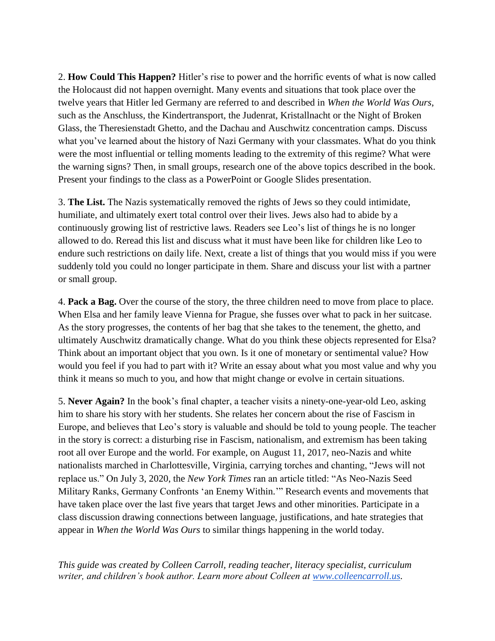2. **How Could This Happen?** Hitler's rise to power and the horrific events of what is now called the Holocaust did not happen overnight. Many events and situations that took place over the twelve years that Hitler led Germany are referred to and described in *When the World Was Ours*, such as the Anschluss, the Kindertransport, the Judenrat, Kristallnacht or the Night of Broken Glass, the Theresienstadt Ghetto, and the Dachau and Auschwitz concentration camps. Discuss what you've learned about the history of Nazi Germany with your classmates. What do you think were the most influential or telling moments leading to the extremity of this regime? What were the warning signs? Then, in small groups, research one of the above topics described in the book. Present your findings to the class as a PowerPoint or Google Slides presentation.

3. **The List.** The Nazis systematically removed the rights of Jews so they could intimidate, humiliate, and ultimately exert total control over their lives. Jews also had to abide by a continuously growing list of restrictive laws. Readers see Leo's list of things he is no longer allowed to do. Reread this list and discuss what it must have been like for children like Leo to endure such restrictions on daily life. Next, create a list of things that you would miss if you were suddenly told you could no longer participate in them. Share and discuss your list with a partner or small group.

4. **Pack a Bag.** Over the course of the story, the three children need to move from place to place. When Elsa and her family leave Vienna for Prague, she fusses over what to pack in her suitcase. As the story progresses, the contents of her bag that she takes to the tenement, the ghetto, and ultimately Auschwitz dramatically change. What do you think these objects represented for Elsa? Think about an important object that you own. Is it one of monetary or sentimental value? How would you feel if you had to part with it? Write an essay about what you most value and why you think it means so much to you, and how that might change or evolve in certain situations.

5. **Never Again?** In the book's final chapter, a teacher visits a ninety-one-year-old Leo, asking him to share his story with her students. She relates her concern about the rise of Fascism in Europe, and believes that Leo's story is valuable and should be told to young people. The teacher in the story is correct: a disturbing rise in Fascism, nationalism, and extremism has been taking root all over Europe and the world. For example, on August 11, 2017, neo-Nazis and white nationalists marched in Charlottesville, Virginia, carrying torches and chanting, "Jews will not replace us." On July 3, 2020, the *New York Times* ran an article titled: "As Neo-Nazis Seed Military Ranks, Germany Confronts 'an Enemy Within.'" Research events and movements that have taken place over the last five years that target Jews and other minorities. Participate in a class discussion drawing connections between language, justifications, and hate strategies that appear in *When the World Was Ours* to similar things happening in the world today.

*This guide was created by Colleen Carroll, reading teacher, literacy specialist, curriculum writer, and children's book author. Learn more about Colleen at [www.colleencarroll.us.](http://www.colleencarroll.us/)*